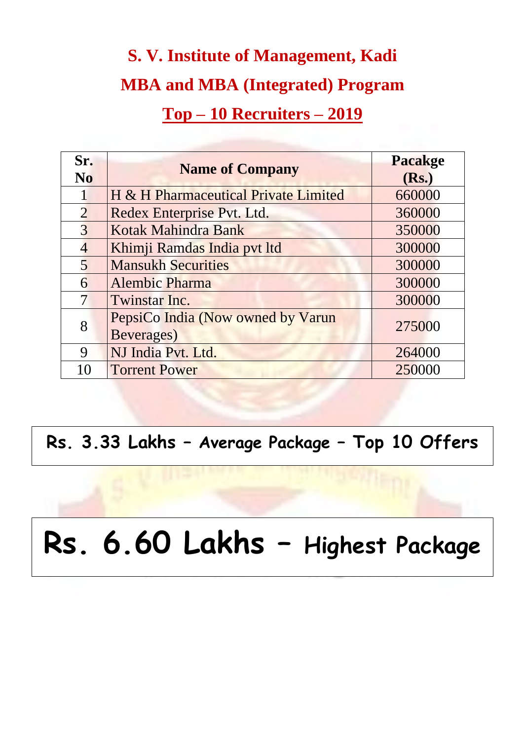## **S. V. Institute of Management, Kadi MBA and MBA (Integrated) Program Top – 10 Recruiters – 2019**

| Sr.<br>N <sub>0</sub>    | <b>Name of Company</b>                          | <b>Pacakge</b><br>(Rs.) |
|--------------------------|-------------------------------------------------|-------------------------|
|                          | H & H Pharmaceutical Private Limited            | 660000                  |
| $\overline{2}$           | Redex Enterprise Pvt. Ltd.                      | 360000                  |
| $\overline{3}$           | Kotak Mahindra Bank                             | 350000                  |
| $\overline{4}$           | Khimji Ramdas India pvt ltd                     | 300000                  |
| $\overline{5}$           | <b>Mansukh Securities</b>                       | 300000                  |
| 6                        | <b>Alembic Pharma</b>                           | 300000                  |
| $\overline{\mathcal{I}}$ | Twinstar Inc.                                   | 300000                  |
| 8                        | PepsiCo India (Now owned by Varun<br>Beverages) | 275000                  |
| $\mathbf Q$              | NJ India Pvt. Ltd.                              | 264000                  |
|                          | <b>Torrent Power</b>                            | 250000                  |

**Rs. 3.33 Lakhs – Average Package – Top 10 Offers**

# **Rs. 6.60 Lakhs – Highest Package**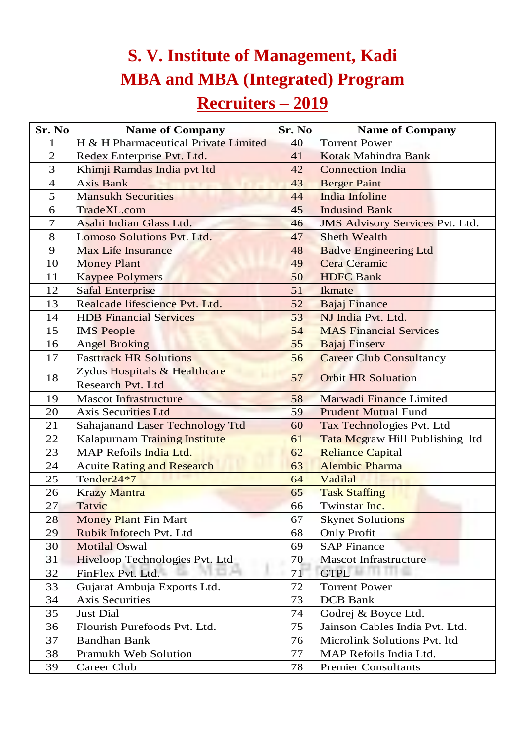## **S. V. Institute of Management, Kadi MBA and MBA (Integrated) Program**

### **Recruiters – 2019**

| <b>S. V. Institute of Management, Kadi</b>                          |                                                          |               |                                        |  |  |  |
|---------------------------------------------------------------------|----------------------------------------------------------|---------------|----------------------------------------|--|--|--|
| <b>MBA and MBA (Integrated) Program</b><br><b>Recruiters</b> – 2019 |                                                          |               |                                        |  |  |  |
| Sr. No                                                              | <b>Name of Company</b>                                   | <b>Sr. No</b> | <b>Name of Company</b>                 |  |  |  |
|                                                                     | H & H Pharmaceutical Private Limited                     | 40            | <b>Torrent Power</b>                   |  |  |  |
| $\overline{2}$                                                      | Redex Enterprise Pvt. Ltd.                               | 41            | Kotak Mahindra Bank                    |  |  |  |
| 3                                                                   | Khimji Ramdas India pvt ltd                              | 42            | <b>Connection India</b>                |  |  |  |
| $\overline{4}$                                                      | <b>Axis Bank</b>                                         | 43            | <b>Berger Paint</b>                    |  |  |  |
| 5 <sup>5</sup>                                                      | <b>Mansukh Securities</b>                                | 44            | <b>India Infoline</b>                  |  |  |  |
| 6                                                                   | TradeXL.com                                              | 45            | <b>Indusind Bank</b>                   |  |  |  |
| $\overline{7}$                                                      | Asahi Indian Glass Ltd.                                  | 46            | <b>JMS Advisory Services Pvt. Ltd.</b> |  |  |  |
| 8                                                                   | Lomoso Solutions Pvt. Ltd.                               | 47            | <b>Sheth Wealth</b>                    |  |  |  |
| 9                                                                   | <b>Max Life Insurance</b>                                | 48            | <b>Badve Engineering Ltd</b>           |  |  |  |
| 10                                                                  | <b>Money Plant</b>                                       | 49            | <b>Cera Ceramic</b>                    |  |  |  |
| 11                                                                  | <b>Kaypee Polymers</b>                                   | 50            | <b>HDFC Bank</b>                       |  |  |  |
| 12                                                                  | <b>Safal Enterprise</b>                                  | 51            | <b>Ikmate</b>                          |  |  |  |
| 13                                                                  | Realcade lifescience Pvt. Ltd.                           | 52            | <b>Bajaj Finance</b>                   |  |  |  |
| 14                                                                  | <b>HDB</b> Financial Services                            | 53            | NJ India Pvt. Ltd.                     |  |  |  |
| 15                                                                  | <b>IMS</b> People                                        | 54            | <b>MAS Financial Services</b>          |  |  |  |
| 16                                                                  | <b>Angel Broking</b>                                     | 55            | <b>Bajaj Finserv</b>                   |  |  |  |
| 17                                                                  | <b>Fasttrack HR Solutions</b>                            | 56            | <b>Career Club Consultancy</b>         |  |  |  |
| 18                                                                  | Zydus Hospitals & Healthcare<br><b>Research Pvt. Ltd</b> | 57            | <b>Orbit HR Soluation</b>              |  |  |  |
| 19                                                                  | <b>Mascot Infrastructure</b>                             | 58            | <b>Marwadi Finance Limited</b>         |  |  |  |
| 20                                                                  | <b>Axis Securities Ltd</b>                               | 59            | <b>Prudent Mutual Fund</b>             |  |  |  |
| 21                                                                  | <b>Sahajanand Laser Technology Ttd</b>                   | 60            | Tax Technologies Pvt. Ltd              |  |  |  |
| 22                                                                  | Kalapurnam Training Institute                            | 61            | Tata Mcgraw Hill Publishing 1td        |  |  |  |
| 23                                                                  | MAP Refoils India Ltd.                                   | 62            | <b>Reliance Capital</b>                |  |  |  |
| 24                                                                  | <b>Acuite Rating and Research</b>                        | 63            | <b>Alembic Pharma</b>                  |  |  |  |
| 25                                                                  | Tender24*7                                               | 64            | Vadilal                                |  |  |  |
| 26                                                                  | <b>Krazy Mantra</b>                                      | 65            | <b>Task Staffing</b>                   |  |  |  |
| 27                                                                  | Tatvic                                                   | 66            | Twinstar Inc.                          |  |  |  |
| 28                                                                  | <b>Money Plant Fin Mart</b>                              | 67            | <b>Skynet Solutions</b>                |  |  |  |
| 29                                                                  | Rubik Infotech Pvt. Ltd                                  | 68            | <b>Only Profit</b>                     |  |  |  |
| 30                                                                  | <b>Motilal Oswal</b>                                     | 69            | <b>SAP Finance</b>                     |  |  |  |
| 31                                                                  | Hiveloop Technologies Pvt. Ltd                           | 70            | <b>Mascot Infrastructure</b>           |  |  |  |
| 32                                                                  | FinFlex Pvt. Ltd.                                        | 71            | <b>GTPL</b>                            |  |  |  |
| 33                                                                  | Gujarat Ambuja Exports Ltd.                              | 72            | <b>Torrent Power</b>                   |  |  |  |
| 34                                                                  | <b>Axis Securities</b>                                   | 73            | <b>DCB</b> Bank                        |  |  |  |
| 35                                                                  | <b>Just Dial</b>                                         | 74            | Godrej & Boyce Ltd.                    |  |  |  |
| 36                                                                  | Flourish Purefoods Pvt. Ltd.                             | 75            | Jainson Cables India Pvt. Ltd.         |  |  |  |
| 37                                                                  | <b>Bandhan Bank</b>                                      | 76            | Microlink Solutions Pvt. 1td           |  |  |  |
| 38                                                                  | <b>Pramukh Web Solution</b>                              | 77            | MAP Refoils India Ltd.                 |  |  |  |
| 39                                                                  | Career Club                                              | 78            | <b>Premier Consultants</b>             |  |  |  |
|                                                                     |                                                          |               |                                        |  |  |  |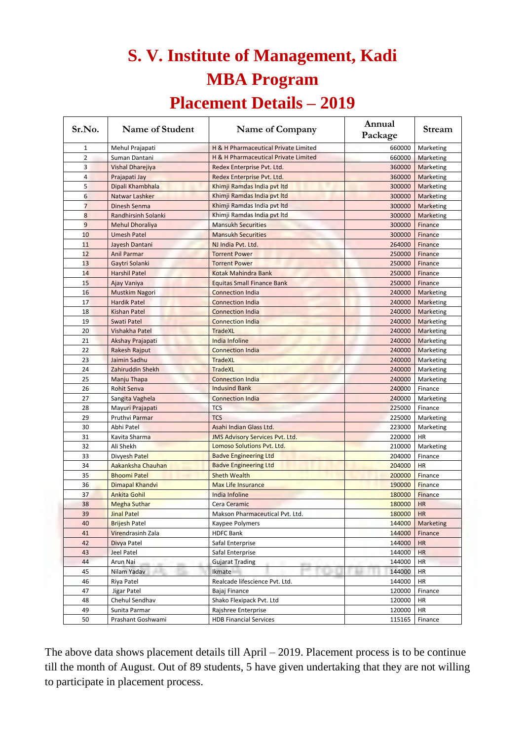#### **S. V. Institute of Management, Kadi MBA Program**

#### **Placement Details – 2019**

| Sr.No.         | Name of Student            | Name of Company                        | Annual<br>Package | <b>Stream</b>    |
|----------------|----------------------------|----------------------------------------|-------------------|------------------|
| $\mathbf{1}$   | Mehul Prajapati            | H & H Pharmaceutical Private Limited   | 660000            | Marketing        |
| $\overline{2}$ | Suman Dantani              | H & H Pharmaceutical Private Limited   | 660000            | Marketing        |
| 3              | Vishal Dharejiya           | Redex Enterprise Pvt. Ltd.             | 360000            | Marketing        |
| 4              | Prajapati Jay              | Redex Enterprise Pvt. Ltd.             | 360000            | <b>Marketing</b> |
| 5              | Dipali Khambhala           | Khimji Ramdas India pvt Itd            | 300000            | Marketing        |
| 6              | Natwar Lashker             | Khimji Ramdas India pvt Itd            | 300000            | Marketing        |
| $\overline{7}$ | Dinesh Senma               | Khimji Ramdas India pvt Itd            | 300000            | Marketing        |
| 8              | <b>Randhirsinh Solanki</b> | Khimji Ramdas India pvt ltd            | 300000            | Marketing        |
| $\overline{9}$ | <b>Mehul Dhoraliya</b>     | <b>Mansukh Securities</b>              | 300000            | Finance          |
| 10             | <b>Umesh Patel</b>         | <b>Mansukh Securities</b>              | 300000            | Finance          |
| 11             | Jayesh Dantani             | NJ India Pvt. Ltd.                     | 264000            | Finance          |
| 12             | <b>Anil Parmar</b>         | <b>Torrent Power</b>                   | 250000            | Finance          |
| 13             | Gaytri Solanki             | <b>Torrent Power</b>                   | 250000            | Finance          |
| 14             | <b>Harshil Patel</b>       | Kotak Mahindra Bank                    | 250000            | Finance          |
| 15             | Ajay Vaniya                | <b>Equitas Small Finance Bank</b>      | 250000            | Finance          |
| 16             | Mustkim Nagori             | <b>Connection India</b>                | 240000            | <b>Marketing</b> |
| 17             | <b>Hardik Patel</b>        | <b>Connection India</b>                | 240000            | <b>Marketing</b> |
| 18             | Kishan Patel               | <b>Connection India</b>                | 240000            | <b>Marketing</b> |
| 19             | Swati Patel                | <b>Connection India</b>                | 240000            | <b>Marketing</b> |
| 20             | Vishakha Patel             | <b>TradeXL</b>                         | 240000            | Marketing        |
| 21             | Akshay Prajapati           | <b>India Infoline</b>                  | 240000            | Marketing        |
| 22             | Rakesh Rajput              | <b>Connection India</b>                | 240000            | <b>Marketing</b> |
| 23             | Jaimin Sadhu               | <b>TradeXL</b>                         | 240000            | Marketing        |
| 24             | Zahiruddin Shekh           | <b>TradeXL</b>                         | 240000            | Marketing        |
| 25             | Manju Thapa                | <b>Connection India</b>                | 240000            | Marketing        |
| 26             | <b>Rohit Senva</b>         | <b>Indusind Bank</b>                   | 240000            | Finance          |
| 27             | Sangita Vaghela            | <b>Connection India</b>                | 240000            | Marketing        |
| 28             | Mayuri Prajapati           | <b>TCS</b>                             | 225000            | Finance          |
| 29             | <b>Pruthvi Parmar</b>      | <b>TCS</b>                             | 225000            | Marketing        |
| 30             | Abhi Patel                 | Asahi Indian Glass Ltd.                | 223000            | Marketing        |
| 31             | Kavita Sharma              | <b>JMS Advisory Services Pvt. Ltd.</b> | 220000            | HR               |
| 32             | Ali Shekh                  | Lomoso Solutions Pvt. Ltd.             | 210000            | Marketing        |
| 33             | Divyesh Patel              | <b>Badve Engineering Ltd</b>           | 204000            | Finance          |
| 34             | Aakanksha Chauhan          | <b>Badve Engineering Ltd</b>           | 204000            | <b>HR</b>        |
| 35             | <b>Bhoomi Patel</b>        | <b>Sheth Wealth</b>                    | 200000            | Finance          |
| 36             | Dimapal Khandvi            | <b>Max Life Insurance</b>              | 190000            | <b>Finance</b>   |
| 37             | <b>Ankita Gohil</b>        | India Infoline                         | 180000            | <b>Finance</b>   |
| 38             | <b>Megha Suthar</b>        | Cera Ceramic                           | 180000            | <b>HR</b>        |
| 39             | <b>Jinal Patel</b>         | Makson Pharmaceutical Pvt. Ltd.        | 180000            | <b>HR</b>        |
| 40             | <b>Brijesh Patel</b>       | Kaypee Polymers                        | 144000            | Marketing        |
| 41             | Virendrasinh Zala          | <b>HDFC Bank</b>                       | 144000            | Finance          |
| 42             | Divya Patel                | Safal Enterprise                       | 144000            | <b>HR</b>        |
| 43             | <b>Jeel Patel</b>          | Safal Enterprise                       | 144000            | <b>HR</b>        |
| 44             | Arun Nai                   | <b>Gujarat Trading</b>                 | 144000            | <b>HR</b>        |
| 45             | Nilam Yadav                | Ikmate                                 | 144000            | <b>HR</b>        |
| 46             | Riya Patel                 | Realcade lifescience Pvt. Ltd.         | 144000            | <b>HR</b>        |
| 47             | Jigar Patel                | Bajaj Finance                          | 120000            | Finance          |
| 48             | Chehul Sendhav             | Shako Flexipack Pvt. Ltd               | 120000            | <b>HR</b>        |
| 49             | Sunita Parmar              | Rajshree Enterprise                    | 120000            | <b>HR</b>        |
| 50             | Prashant Goshwami          | <b>HDB Financial Services</b>          | 115165            | Finance          |

The above data shows placement details till April – 2019. Placement process is to be continue till the month of August. Out of 89 students, 5 have given undertaking that they are not willing to participate in placement process.